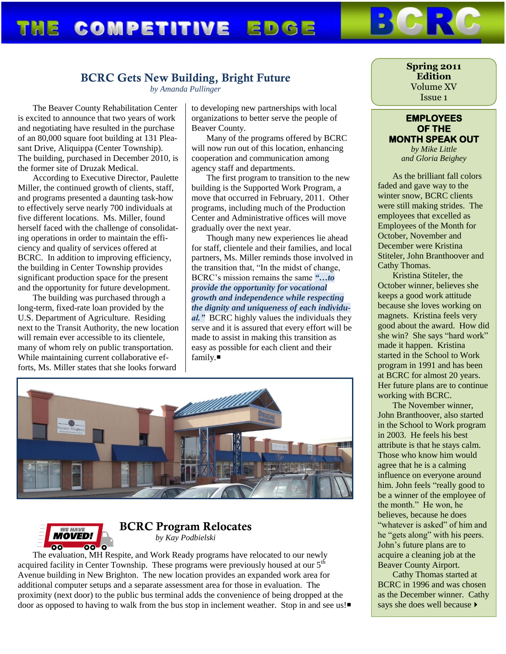## **COMPETITIVE EDGE** THE

## **BCRC Gets New Building, Bright Future**

*by Amanda Pullinger*

The Beaver County Rehabilitation Center is excited to announce that two years of work and negotiating have resulted in the purchase of an 80,000 square foot building at 131 Pleasant Drive, Aliquippa (Center Township). The building, purchased in December 2010, is the former site of Druzak Medical.

According to Executive Director, Paulette Miller, the continued growth of clients, staff, and programs presented a daunting task-how to effectively serve nearly 700 individuals at five different locations. Ms. Miller, found herself faced with the challenge of consolidating operations in order to maintain the efficiency and quality of services offered at BCRC. In addition to improving efficiency, the building in Center Township provides significant production space for the present and the opportunity for future development.

The building was purchased through a long-term, fixed-rate loan provided by the U.S. Department of Agriculture. Residing next to the Transit Authority, the new location will remain ever accessible to its clientele, many of whom rely on public transportation. While maintaining current collaborative efforts, Ms. Miller states that she looks forward

to developing new partnerships with local organizations to better serve the people of Beaver County.

Many of the programs offered by BCRC will now run out of this location, enhancing cooperation and communication among agency staff and departments.

The first program to transition to the new building is the Supported Work Program, a move that occurred in February, 2011. Other programs, including much of the Production Center and Administrative offices will move gradually over the next year.

Though many new experiences lie ahead for staff, clientele and their families, and local partners, Ms. Miller reminds those involved in the transition that, "In the midst of change, BCRC's mission remains the same *"…to provide the opportunity for vocational growth and independence while respecting the dignity and uniqueness of each individual."* BCRC highly values the individuals they serve and it is assured that every effort will be made to assist in making this transition as easy as possible for each client and their family.





## **BCRC Program Relocates** *by Kay Podbielski*

The evaluation, MH Respite, and Work Ready programs have relocated to our newly acquired facility in Center Township. These programs were previously housed at our  $5<sup>th</sup>$ Avenue building in New Brighton. The new location provides an expanded work area for additional computer setups and a separate assessment area for those in evaluation. The proximity (next door) to the public bus terminal adds the convenience of being dropped at the door as opposed to having to walk from the bus stop in inclement weather. Stop in and see us!

#### **Spring 2011 Edition** Volume XV Issue 1

### **EMPLOYEES OF THE MONTH SPEAK OUT**

*by Mike Little and Gloria Beighey*

As the brilliant fall colors faded and gave way to the winter snow, BCRC clients were still making strides. The employees that excelled as Employees of the Month for October, November and December were Kristina Stiteler, John Branthoover and Cathy Thomas.

Kristina Stiteler, the October winner, believes she keeps a good work attitude because she loves working on magnets. Kristina feels very good about the award. How did she win? She says "hard work" made it happen. Kristina started in the School to Work program in 1991 and has been at BCRC for almost 20 years. Her future plans are to continue working with BCRC.

The November winner, John Branthoover, also started in the School to Work program in 2003. He feels his best attribute is that he stays calm. Those who know him would agree that he is a calming influence on everyone around him. John feels "really good to be a winner of the employee of the month." He won, he believes, because he does "whatever is asked" of him and he "gets along" with his peers. John's future plans are to acquire a cleaning job at the Beaver County Airport.

Cathy Thomas started at BCRC in 1996 and was chosen as the December winner. Cathy says she does well because  $\blacktriangleright$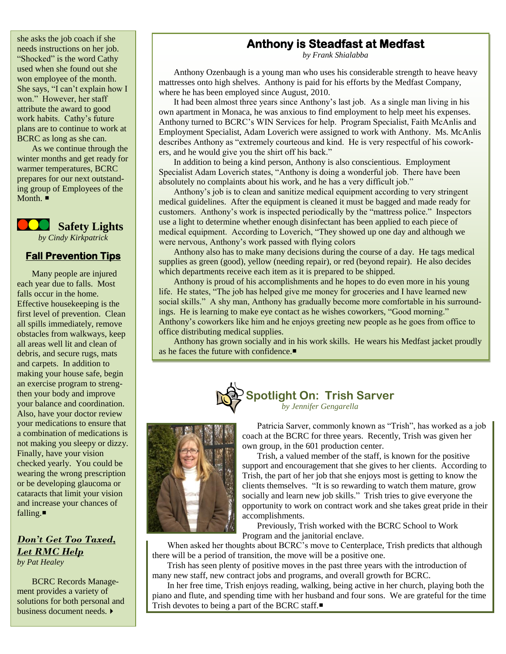she asks the job coach if she needs instructions on her job. "Shocked" is the word Cathy used when she found out she won employee of the month. She says, "I can't explain how I won." However, her staff attribute the award to good work habits. Cathy's future plans are to continue to work at BCRC as long as she can.

As we continue through the winter months and get ready for warmer temperatures, BCRC prepares for our next outstanding group of Employees of the Month.  $\blacksquare$ 

 **Safety Lights** *by Cindy Kirkpatrick*

### **Fall Prevention Tips**

Many people are injured each year due to falls. Most falls occur in the home. Effective housekeeping is the first level of prevention. Clean all spills immediately, remove obstacles from walkways, keep all areas well lit and clean of debris, and secure rugs, mats and carpets. In addition to making your house safe, begin an exercise program to strengthen your body and improve your balance and coordination. Also, have your doctor review your medications to ensure that a combination of medications is not making you sleepy or dizzy. Finally, have your vision checked yearly. You could be wearing the wrong prescription or be developing glaucoma or cataracts that limit your vision and increase your chances of falling.

*Don't Get Too Taxed, Let RMC Help by Pat Healey*

BCRC Records Management provides a variety of solutions for both personal and business document needs.

## **Anthony is Steadfast at Medfast**

*by Frank Shialabba*

Anthony Ozenbaugh is a young man who uses his considerable strength to heave heavy mattresses onto high shelves. Anthony is paid for his efforts by the Medfast Company, where he has been employed since August, 2010.

It had been almost three years since Anthony's last job. As a single man living in his own apartment in Monaca, he was anxious to find employment to help meet his expenses. Anthony turned to BCRC's WIN Services for help. Program Specialist, Faith McAnlis and Employment Specialist, Adam Loverich were assigned to work with Anthony. Ms. McAnlis describes Anthony as "extremely courteous and kind. He is very respectful of his coworkers, and he would give you the shirt off his back."

In addition to being a kind person, Anthony is also conscientious. Employment Specialist Adam Loverich states, "Anthony is doing a wonderful job. There have been absolutely no complaints about his work, and he has a very difficult job."

Anthony's job is to clean and sanitize medical equipment according to very stringent medical guidelines. After the equipment is cleaned it must be bagged and made ready for customers. Anthony's work is inspected periodically by the "mattress police." Inspectors use a light to determine whether enough disinfectant has been applied to each piece of medical equipment. According to Loverich, "They showed up one day and although we were nervous, Anthony's work passed with flying colors

Anthony also has to make many decisions during the course of a day. He tags medical supplies as green (good), yellow (needing repair), or red (beyond repair). He also decides which departments receive each item as it is prepared to be shipped.

Anthony is proud of his accomplishments and he hopes to do even more in his young life. He states, "The job has helped give me money for groceries and I have learned new social skills." A shy man, Anthony has gradually become more comfortable in his surroundings. He is learning to make eye contact as he wishes coworkers, "Good morning." Anthony's coworkers like him and he enjoys greeting new people as he goes from office to office distributing medical supplies.

Anthony has grown socially and in his work skills. He wears his Medfast jacket proudly as he faces the future with confidence.





Patricia Sarver, commonly known as "Trish", has worked as a job coach at the BCRC for three years. Recently, Trish was given her own group, in the 601 production center.

Trish, a valued member of the staff, is known for the positive support and encouragement that she gives to her clients. According to Trish, the part of her job that she enjoys most is getting to know the clients themselves. "It is so rewarding to watch them mature, grow socially and learn new job skills." Trish tries to give everyone the opportunity to work on contract work and she takes great pride in their accomplishments.

Previously, Trish worked with the BCRC School to Work Program and the janitorial enclave.

When asked her thoughts about BCRC's move to Centerplace, Trish predicts that although there will be a period of transition, the move will be a positive one.

Trish has seen plenty of positive moves in the past three years with the introduction of many new staff, new contract jobs and programs, and overall growth for BCRC.

In her free time, Trish enjoys reading, walking, being active in her church, playing both the piano and flute, and spending time with her husband and four sons. We are grateful for the time Trish devotes to being a part of the BCRC staff.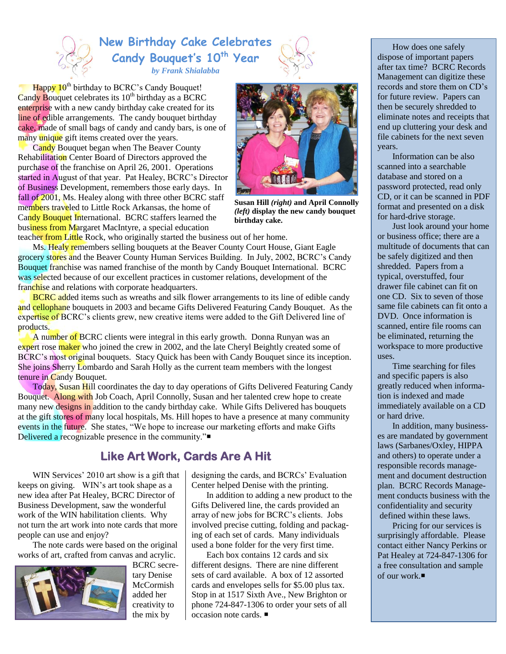# **New Birthday Cake Celebrates Candy Bouquet's 10th Year** *by Frank Shialabba*



Happy  $10^{th}$  birthday to BCRC's Candy Bouquet! Candy Bouquet celebrates its  $10^{th}$  birthday as a BCRC enterprise with a new candy birthday cake created for its line of edible arrangements. The candy bouquet birthday cake, made of small bags of candy and candy bars, is one of many unique gift items created over the years.

Candy Bouquet began when The Beaver County Rehabilitation Center Board of Directors approved the purchase of the franchise on April 26, 2001. Operations started in August of that year. Pat Healey, BCRC's Director of Business Development, remembers those early days. In fall of 2001, Ms. Healey along with three other BCRC staff members traveled to Little Rock Arkansas, the home of Candy Bouquet International. BCRC staffers learned the business from Margaret MacIntyre, a special education



**Susan Hill** *(right)* **and April Connolly**  *(left)* **display the new candy bouquet birthday cake.**

teacher from Little Rock, who originally started the business out of her home.

Ms. Healy remembers selling bouquets at the Beaver County Court House, Giant Eagle grocery stores and the Beaver County Human Services Building. In July, 2002, BCRC's Candy Bouquet franchise was named franchise of the month by Candy Bouquet International. BCRC was selected because of our excellent practices in customer relations, development of the franchise and relations with corporate headquarters.

**BCRC** added items such as wreaths and silk flower arrangements to its line of edible candy and cellophane bouquets in 2003 and became Gifts Delivered Featuring Candy Bouquet. As the expertise of BCRC's clients grew, new creative items were added to the Gift Delivered line of products.

A number of BCRC clients were integral in this early growth. Donna Runyan was an expert rose maker who joined the crew in 2002, and the late Cheryl Beightly created some of BCRC's most original bouquets. Stacy Quick has been with Candy Bouquet since its inception. She joins Sherry Lombardo and Sarah Holly as the current team members with the longest tenure in Candy Bouquet.

Today, Susan Hill coordinates the day to day operations of Gifts Delivered Featuring Candy Bouquet. Along with Job Coach, April Connolly, Susan and her talented crew hope to create many new designs in addition to the candy birthday cake. While Gifts Delivered has bouquets at the gift stores of many local hospitals, Ms. Hill hopes to have a presence at many community events in the future. She states, "We hope to increase our marketing efforts and make Gifts Delivered a recognizable presence in the community."

## **Like Art Work, Cards Are A Hit**

WIN Services' 2010 art show is a gift that keeps on giving. WIN's art took shape as a new idea after Pat Healey, BCRC Director of Business Development, saw the wonderful work of the WIN habilitation clients. Why not turn the art work into note cards that more people can use and enjoy?

The note cards were based on the original works of art, crafted from canvas and acrylic.



BCRC secretary Denise **McCormish** added her creativity to the mix by

designing the cards, and BCRCs' Evaluation Center helped Denise with the printing.

In addition to adding a new product to the Gifts Delivered line, the cards provided an array of new jobs for BCRC's clients. Jobs involved precise cutting, folding and packaging of each set of cards. Many individuals used a bone folder for the very first time.

Each box contains 12 cards and six different designs. There are nine different sets of card available. A box of 12 assorted cards and envelopes sells for \$5.00 plus tax. Stop in at 1517 Sixth Ave., New Brighton or phone 724-847-1306 to order your sets of all occasion note cards.

How does one safely dispose of important papers after tax time? BCRC Records Management can digitize these records and store them on CD's for future review. Papers can then be securely shredded to eliminate notes and receipts that end up cluttering your desk and file cabinets for the next seven years.

Information can be also scanned into a searchable database and stored on a password protected, read only CD, or it can be scanned in PDF format and presented on a disk for hard-drive storage.

Just look around your home or business office; there are a multitude of documents that can be safely digitized and then shredded. Papers from a typical, overstuffed, four drawer file cabinet can fit on one CD. Six to seven of those same file cabinets can fit onto a DVD. Once information is scanned, entire file rooms can be eliminated, returning the workspace to more productive uses.

Time searching for files and specific papers is also greatly reduced when information is indexed and made immediately available on a CD or hard drive.

In addition, many businesses are mandated by government laws (Sarbanes/Oxley, HIPPA and others) to operate under a responsible records management and document destruction plan. BCRC Records Management conducts business with the confidentiality and security defined within these laws.

Pricing for our services is surprisingly affordable. Please contact either Nancy Perkins or Pat Healey at 724-847-1306 for a free consultation and sample of our work.